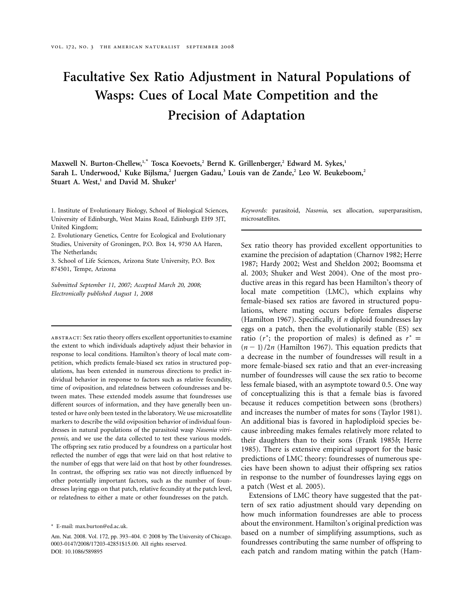# **Facultative Sex Ratio Adjustment in Natural Populations of Wasps: Cues of Local Mate Competition and the Precision of Adaptation**

Maxwell N. Burton-Chellew,<sup>1,\*</sup> Tosca Koevoets,<sup>2</sup> Bernd K. Grillenberger,<sup>2</sup> Edward M. Sykes,<sup>1</sup> **Sarah L. Underwood,1 Kuke Bijlsma,2 Juergen Gadau,3 Louis van de Zande,2 Leo W. Beukeboom,<sup>2</sup>** Stuart A. West,<sup>1</sup> and David M. Shuker<sup>1</sup>

1. Institute of Evolutionary Biology, School of Biological Sciences, University of Edinburgh, West Mains Road, Edinburgh EH9 3JT, United Kingdom;

2. Evolutionary Genetics, Centre for Ecological and Evolutionary Studies, University of Groningen, P.O. Box 14, 9750 AA Haren, The Netherlands;

3. School of Life Sciences, Arizona State University, P.O. Box 874501, Tempe, Arizona

*Submitted September 11, 2007; Accepted March 20, 2008; Electronically published August 1, 2008*

abstract: Sex ratio theory offers excellent opportunities to examine the extent to which individuals adaptively adjust their behavior in response to local conditions. Hamilton's theory of local mate competition, which predicts female-biased sex ratios in structured populations, has been extended in numerous directions to predict individual behavior in response to factors such as relative fecundity, time of oviposition, and relatedness between cofoundresses and between mates. These extended models assume that foundresses use different sources of information, and they have generally been untested or have only been tested in the laboratory. We use microsatellite markers to describe the wild oviposition behavior of individual foundresses in natural populations of the parasitoid wasp *Nasonia vitripennis,* and we use the data collected to test these various models. The offspring sex ratio produced by a foundress on a particular host reflected the number of eggs that were laid on that host relative to the number of eggs that were laid on that host by other foundresses. In contrast, the offspring sex ratio was not directly influenced by other potentially important factors, such as the number of foundresses laying eggs on that patch, relative fecundity at the patch level, or relatedness to either a mate or other foundresses on the patch.

*Keywords:* parasitoid, *Nasonia*, sex allocation, superparasitism, microsatellites.

Sex ratio theory has provided excellent opportunities to examine the precision of adaptation (Charnov 1982; Herre 1987; Hardy 2002; West and Sheldon 2002; Boomsma et al. 2003; Shuker and West 2004). One of the most productive areas in this regard has been Hamilton's theory of local mate competition (LMC), which explains why female-biased sex ratios are favored in structured populations, where mating occurs before females disperse (Hamilton 1967). Specifically, if *n* diploid foundresses lay eggs on a patch, then the evolutionarily stable (ES) sex ratio ( $r^*$ ; the proportion of males) is defined as  $r^* =$  $(n-1)/2n$  (Hamilton 1967). This equation predicts that a decrease in the number of foundresses will result in a more female-biased sex ratio and that an ever-increasing number of foundresses will cause the sex ratio to become less female biased, with an asymptote toward 0.5. One way of conceptualizing this is that a female bias is favored because it reduces competition between sons (brothers) and increases the number of mates for sons (Taylor 1981). An additional bias is favored in haplodiploid species because inbreeding makes females relatively more related to their daughters than to their sons (Frank 1985*b*; Herre 1985). There is extensive empirical support for the basic predictions of LMC theory: foundresses of numerous species have been shown to adjust their offspring sex ratios in response to the number of foundresses laying eggs on a patch (West et al. 2005).

Extensions of LMC theory have suggested that the pattern of sex ratio adjustment should vary depending on how much information foundresses are able to process about the environment. Hamilton's original prediction was based on a number of simplifying assumptions, such as foundresses contributing the same number of offspring to each patch and random mating within the patch (Ham-

<sup>\*</sup> E-mail: max.burton@ed.ac.uk.

Am. Nat. 2008. Vol. 172, pp. 393-404. © 2008 by The University of Chicago. 0003-0147/2008/17203-42851\$15.00. All rights reserved. DOI: 10.1086/589895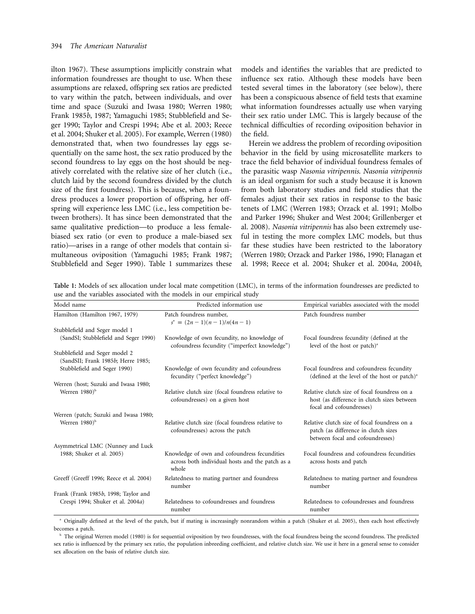ilton 1967). These assumptions implicitly constrain what information foundresses are thought to use. When these assumptions are relaxed, offspring sex ratios are predicted to vary within the patch, between individuals, and over time and space (Suzuki and Iwasa 1980; Werren 1980; Frank 1985*b*, 1987; Yamaguchi 1985; Stubblefield and Seger 1990; Taylor and Crespi 1994; Abe et al. 2003; Reece et al. 2004; Shuker et al. 2005). For example, Werren (1980) demonstrated that, when two foundresses lay eggs sequentially on the same host, the sex ratio produced by the second foundress to lay eggs on the host should be negatively correlated with the relative size of her clutch (i.e., clutch laid by the second foundress divided by the clutch size of the first foundress). This is because, when a foundress produces a lower proportion of offspring, her offspring will experience less LMC (i.e., less competition between brothers). It has since been demonstrated that the same qualitative prediction—to produce a less femalebiased sex ratio (or even to produce a male-biased sex ratio)—arises in a range of other models that contain simultaneous oviposition (Yamaguchi 1985; Frank 1987; Stubblefield and Seger 1990). Table 1 summarizes these

models and identifies the variables that are predicted to influence sex ratio. Although these models have been tested several times in the laboratory (see below), there has been a conspicuous absence of field tests that examine what information foundresses actually use when varying their sex ratio under LMC. This is largely because of the technical difficulties of recording oviposition behavior in the field.

Herein we address the problem of recording oviposition behavior in the field by using microsatellite markers to trace the field behavior of individual foundress females of the parasitic wasp *Nasonia vitripennis*. *Nasonia vitripennis* is an ideal organism for such a study because it is known from both laboratory studies and field studies that the females adjust their sex ratios in response to the basic tenets of LMC (Werren 1983; Orzack et al. 1991; Molbo and Parker 1996; Shuker and West 2004; Grillenberger et al. 2008). *Nasonia vitripennis* has also been extremely useful in testing the more complex LMC models, but thus far these studies have been restricted to the laboratory (Werren 1980; Orzack and Parker 1986, 1990; Flanagan et al. 1998; Reece et al. 2004; Shuker et al. 2004*a*, 2004*b*,

**Table 1:** Models of sex allocation under local mate competition (LMC), in terms of the information foundresses are predicted to use and the variables associated with the models in our empirical study

| Model name                                                           | Predicted information use                                                                                | Empirical variables associated with the model                                                                            |
|----------------------------------------------------------------------|----------------------------------------------------------------------------------------------------------|--------------------------------------------------------------------------------------------------------------------------|
| Hamilton (Hamilton 1967, 1979)                                       | Patch foundress number,<br>$s^* = (2n - 1)(n - 1)/n(4n - 1)$                                             | Patch foundress number                                                                                                   |
| Stubblefield and Seger model 1                                       |                                                                                                          |                                                                                                                          |
| (SandSI; Stubblefield and Seger 1990)                                | Knowledge of own fecundity, no knowledge of<br>cofoundress fecundity ("imperfect knowledge")             | Focal foundress fecundity (defined at the<br>level of the host or patch) <sup>a</sup>                                    |
| Stubblefield and Seger model 2<br>(SandSII; Frank 1985b; Herre 1985; |                                                                                                          |                                                                                                                          |
| Stubblefield and Seger 1990)                                         | Knowledge of own fecundity and cofoundress<br>fecundity ("perfect knowledge")                            | Focal foundress and cofoundress fecundity<br>(defined at the level of the host or patch) <sup>a</sup>                    |
| Werren (host; Suzuki and Iwasa 1980;                                 |                                                                                                          |                                                                                                                          |
| Werren $1980$ <sup>b</sup>                                           | Relative clutch size (focal foundress relative to<br>cofoundresses) on a given host                      | Relative clutch size of focal foundress on a<br>host (as difference in clutch sizes between<br>focal and cofoundresses)  |
| Werren (patch; Suzuki and Iwasa 1980;                                |                                                                                                          |                                                                                                                          |
| Werren $1980$ <sup>b</sup>                                           | Relative clutch size (focal foundress relative to<br>cofoundresses) across the patch                     | Relative clutch size of focal foundress on a<br>patch (as difference in clutch sizes<br>between focal and cofoundresses) |
| Asymmetrical LMC (Nunney and Luck                                    |                                                                                                          |                                                                                                                          |
| 1988; Shuker et al. 2005)                                            | Knowledge of own and cofoundress fecundities<br>across both individual hosts and the patch as a<br>whole | Focal foundress and cofoundress fecundities<br>across hosts and patch                                                    |
| Greeff (Greeff 1996; Reece et al. 2004)                              | Relatedness to mating partner and foundress<br>number                                                    | Relatedness to mating partner and foundress<br>number                                                                    |
| Frank (Frank 1985b, 1998; Taylor and                                 |                                                                                                          |                                                                                                                          |
| Crespi 1994; Shuker et al. 2004a)                                    | Relatedness to cofoundresses and foundress<br>number                                                     | Relatedness to cofoundresses and foundress<br>number                                                                     |

<sup>a</sup> Originally defined at the level of the patch, but if mating is increasingly nonrandom within a patch (Shuker et al. 2005), then each host effectively becomes a patch.

<sup>b</sup> The original Werren model (1980) is for sequential oviposition by two foundresses, with the focal foundress being the second foundress. The predicted sex ratio is influenced by the primary sex ratio, the population inbreeding coefficient, and relative clutch size. We use it here in a general sense to consider sex allocation on the basis of relative clutch size.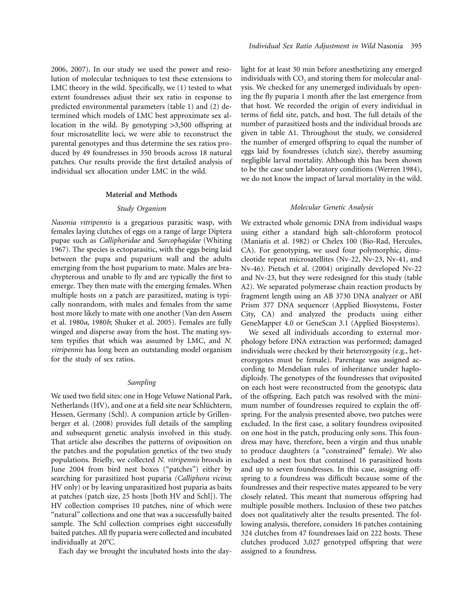2006, 2007). In our study we used the power and resolution of molecular techniques to test these extensions to LMC theory in the wild. Specifically, we (1) tested to what extent foundresses adjust their sex ratio in response to predicted environmental parameters (table 1) and (2) determined which models of LMC best approximate sex allocation in the wild. By genotyping  $>3,500$  offspring at four microsatellite loci, we were able to reconstruct the parental genotypes and thus determine the sex ratios produced by 49 foundresses in 350 broods across 18 natural patches. Our results provide the first detailed analysis of individual sex allocation under LMC in the wild.

#### **Material and Methods**

#### *Study Organism*

*Nasonia vitripennis* is a gregarious parasitic wasp, with females laying clutches of eggs on a range of large Diptera pupae such as *Calliphoridae* and *Sarcophagidae* (Whiting 1967). The species is ectoparasitic, with the eggs being laid between the pupa and puparium wall and the adults emerging from the host puparium to mate. Males are brachypterous and unable to fly and are typically the first to emerge. They then mate with the emerging females. When multiple hosts on a patch are parasitized, mating is typically nonrandom, with males and females from the same host more likely to mate with one another (Van den Assem et al. 1980*a*, 1980*b*; Shuker et al. 2005). Females are fully winged and disperse away from the host. The mating system typifies that which was assumed by LMC, and *N. vitripennis* has long been an outstanding model organism for the study of sex ratios.

#### *Sampling*

We used two field sites: one in Hoge Veluwe National Park, Netherlands (HV), and one at a field site near Schlüchtern, Hessen, Germany (Schl). A companion article by Grillenberger et al. (2008) provides full details of the sampling and subsequent genetic analysis involved in this study. That article also describes the patterns of oviposition on the patches and the population genetics of the two study populations. Briefly, we collected *N. vitripennis* broods in June 2004 from bird nest boxes ("patches") either by searching for parasitized host puparia *(Calliphora vicina*; HV only) or by leaving unparasitized host puparia as baits at patches (patch size, 25 hosts [both HV and Schl]). The HV collection comprises 10 patches, nine of which were "natural" collections and one that was a successfully baited sample. The Schl collection comprises eight successfully baited patches. All fly puparia were collected and incubated individually at 20°C.

Each day we brought the incubated hosts into the day-

light for at least 30 min before anesthetizing any emerged individuals with  $CO<sub>2</sub>$  and storing them for molecular analysis. We checked for any unemerged individuals by opening the fly puparia 1 month after the last emergence from that host. We recorded the origin of every individual in terms of field site, patch, and host. The full details of the number of parasitized hosts and the individual broods are given in table A1. Throughout the study, we considered the number of emerged offspring to equal the number of eggs laid by foundresses (clutch size), thereby assuming negligible larval mortality. Although this has been shown to be the case under laboratory conditions (Werren 1984), we do not know the impact of larval mortality in the wild.

#### *Molecular Genetic Analysis*

We extracted whole genomic DNA from individual wasps using either a standard high salt-chloroform protocol (Maniatis et al. 1982) or Chelex 100 (Bio-Rad, Hercules, CA). For genotyping, we used four polymorphic, dinucleotide repeat microsatellites (Nv-22, Nv-23, Nv-41, and Nv-46). Pietsch et al. (2004) originally developed Nv-22 and Nv-23, but they were redesigned for this study (table A2). We separated polymerase chain reaction products by fragment length using an AB 3730 DNA analyzer or ABI Prism 377 DNA sequencer (Applied Biosystems, Foster City, CA) and analyzed the products using either GeneMapper 4.0 or GeneScan 3.1 (Applied Biosystems).

We sexed all individuals according to external morphology before DNA extraction was performed; damaged individuals were checked by their heterozygosity (e.g., heterozygotes must be female). Parentage was assigned according to Mendelian rules of inheritance under haplodiploidy. The genotypes of the foundresses that oviposited on each host were reconstructed from the genotypic data of the offspring. Each patch was resolved with the minimum number of foundresses required to explain the offspring. For the analysis presented above, two patches were excluded. In the first case, a solitary foundress oviposited on one host in the patch, producing only sons. This foundress may have, therefore, been a virgin and thus unable to produce daughters (a "constrained" female). We also excluded a nest box that contained 16 parasitized hosts and up to seven foundresses. In this case, assigning offspring to a foundress was difficult because some of the foundresses and their respective mates appeared to be very closely related. This meant that numerous offspring had multiple possible mothers. Inclusion of these two patches does not qualitatively alter the results presented. The following analysis, therefore, considers 16 patches containing 324 clutches from 47 foundresses laid on 222 hosts. These clutches produced 3,027 genotyped offspring that were assigned to a foundress.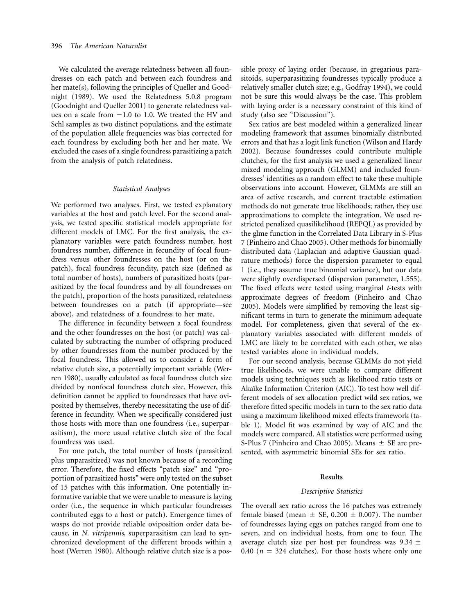We calculated the average relatedness between all foundresses on each patch and between each foundress and her mate(s), following the principles of Queller and Goodnight (1989). We used the Relatedness 5.0.8 program (Goodnight and Queller 2001) to generate relatedness values on a scale from  $-1.0$  to 1.0. We treated the HV and Schl samples as two distinct populations, and the estimate of the population allele frequencies was bias corrected for each foundress by excluding both her and her mate. We excluded the cases of a single foundress parasitizing a patch from the analysis of patch relatedness.

#### *Statistical Analyses*

We performed two analyses. First, we tested explanatory variables at the host and patch level. For the second analysis, we tested specific statistical models appropriate for different models of LMC. For the first analysis, the explanatory variables were patch foundress number, host foundress number, difference in fecundity of focal foundress versus other foundresses on the host (or on the patch), focal foundress fecundity, patch size (defined as total number of hosts), numbers of parasitized hosts (parasitized by the focal foundress and by all foundresses on the patch), proportion of the hosts parasitized, relatedness between foundresses on a patch (if appropriate—see above), and relatedness of a foundress to her mate.

The difference in fecundity between a focal foundress and the other foundresses on the host (or patch) was calculated by subtracting the number of offspring produced by other foundresses from the number produced by the focal foundress. This allowed us to consider a form of relative clutch size, a potentially important variable (Werren 1980), usually calculated as focal foundress clutch size divided by nonfocal foundress clutch size. However, this definition cannot be applied to foundresses that have oviposited by themselves, thereby necessitating the use of difference in fecundity. When we specifically considered just those hosts with more than one foundress (i.e., superparasitism), the more usual relative clutch size of the focal foundress was used.

For one patch, the total number of hosts (parasitized plus unparasitized) was not known because of a recording error. Therefore, the fixed effects "patch size" and "proportion of parasitized hosts" were only tested on the subset of 15 patches with this information. One potentially informative variable that we were unable to measure is laying order (i.e., the sequence in which particular foundresses contributed eggs to a host or patch). Emergence times of wasps do not provide reliable oviposition order data because, in *N. vitripennis*, superparasitism can lead to synchronized development of the different broods within a host (Werren 1980). Although relative clutch size is a possible proxy of laying order (because, in gregarious parasitoids, superparasitizing foundresses typically produce a relatively smaller clutch size; e.g., Godfray 1994), we could not be sure this would always be the case. This problem with laying order is a necessary constraint of this kind of study (also see "Discussion").

Sex ratios are best modeled within a generalized linear modeling framework that assumes binomially distributed errors and that has a logit link function (Wilson and Hardy 2002). Because foundresses could contribute multiple clutches, for the first analysis we used a generalized linear mixed modeling approach (GLMM) and included foundresses' identities as a random effect to take these multiple observations into account. However, GLMMs are still an area of active research, and current tractable estimation methods do not generate true likelihoods; rather, they use approximations to complete the integration. We used restricted penalized quasilikelihood (REPQL) as provided by the glme function in the Correlated Data Library in S-Plus 7 (Pinheiro and Chao 2005). Other methods for binomially distributed data (Laplacian and adaptive Gaussian quadrature methods) force the dispersion parameter to equal 1 (i.e., they assume true binomial variance), but our data were slightly overdispersed (dispersion parameter, 1.555). The fixed effects were tested using marginal *t*-tests with approximate degrees of freedom (Pinheiro and Chao 2005). Models were simplified by removing the least significant terms in turn to generate the minimum adequate model. For completeness, given that several of the explanatory variables associated with different models of LMC are likely to be correlated with each other, we also tested variables alone in individual models.

For our second analysis, because GLMMs do not yield true likelihoods, we were unable to compare different models using techniques such as likelihood ratio tests or Akaïke Information Criterion (AIC). To test how well different models of sex allocation predict wild sex ratios, we therefore fitted specific models in turn to the sex ratio data using a maximum likelihood mixed effects framework (table 1). Model fit was examined by way of AIC and the models were compared. All statistics were performed using S-Plus 7 (Pinheiro and Chao 2005). Means  $\pm$  SE are presented, with asymmetric binomial SEs for sex ratio.

## **Results**

#### *Descriptive Statistics*

The overall sex ratio across the 16 patches was extremely female biased (mean  $\pm$  SE, 0.200  $\pm$  0.007). The number of foundresses laying eggs on patches ranged from one to seven, and on individual hosts, from one to four. The average clutch size per host per foundress was  $9.34 \pm$ 0.40 ( $n = 324$  clutches). For those hosts where only one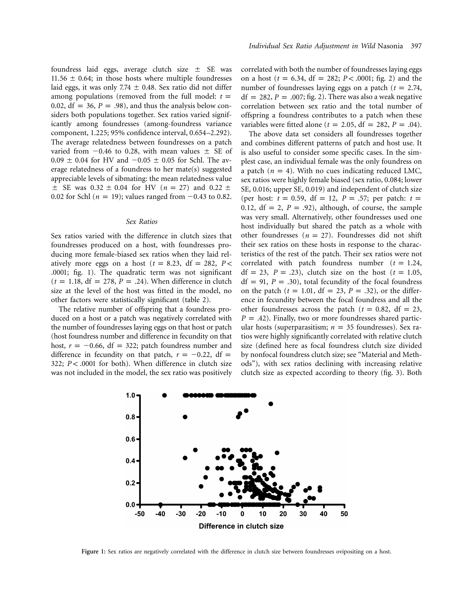foundress laid eggs, average clutch size  $\pm$  SE was  $11.56 \pm 0.64$ ; in those hosts where multiple foundresses laid eggs, it was only 7.74  $\pm$  0.48. Sex ratio did not differ among populations (removed from the full model:  $t =$ 0.02,  $df = 36$ ,  $P = .98$ ), and thus the analysis below considers both populations together. Sex ratios varied significantly among foundresses (among-foundress variance component, 1.225; 95% confidence interval, 0.654-2.292). The average relatedness between foundresses on a patch varied from  $-0.46$  to 0.28, with mean values  $\pm$  SE of  $0.09 \pm 0.04$  for HV and  $-0.05 \pm 0.05$  for Schl. The average relatedness of a foundress to her mate(s) suggested appreciable levels of sibmating: the mean relatedness value  $\pm$  SE was 0.32  $\pm$  0.04 for HV ( $n = 27$ ) and 0.22  $\pm$ 0.02 for Schl ( $n = 19$ ); values ranged from  $-0.43$  to 0.82.

#### *Sex Ratios*

Sex ratios varied with the difference in clutch sizes that foundresses produced on a host, with foundresses producing more female-biased sex ratios when they laid relatively more eggs on a host ( $t = 8.23$ , df = 282, P< .0001; fig. 1). The quadratic term was not significant  $(t = 1.18, df = 278, P = .24)$ . When difference in clutch size at the level of the host was fitted in the model, no other factors were statistically significant (table 2).

The relative number of offspring that a foundress produced on a host or a patch was negatively correlated with the number of foundresses laying eggs on that host or patch (host foundress number and difference in fecundity on that host,  $r = -0.66$ , df = 322; patch foundress number and difference in fecundity on that patch,  $r = -0.22$ , df = 322;  $P < .0001$  for both). When difference in clutch size was not included in the model, the sex ratio was positively correlated with both the number of foundresses laying eggs on a host ( $t = 6.34$ , df = 282;  $P < .0001$ ; fig. 2) and the number of foundresses laying eggs on a patch  $(t = 2.74,$  $df = 282, P = .007$ ; fig. 2). There was also a weak negative correlation between sex ratio and the total number of offspring a foundress contributes to a patch when these variables were fitted alone ( $t = 2.05$ , df = 282,  $P = .04$ ).

The above data set considers all foundresses together and combines different patterns of patch and host use. It is also useful to consider some specific cases. In the simplest case, an individual female was the only foundress on a patch  $(n = 4)$ . With no cues indicating reduced LMC, sex ratios were highly female biased (sex ratio, 0.084; lower SE, 0.016; upper SE, 0.019) and independent of clutch size (per host:  $t = 0.59$ , df = 12,  $P = .57$ ; per patch:  $t =$ 0.12,  $df = 2$ ,  $P = .92$ ), although, of course, the sample was very small. Alternatively, other foundresses used one host individually but shared the patch as a whole with other foundresses ( $n = 27$ ). Foundresses did not shift their sex ratios on these hosts in response to the characteristics of the rest of the patch. Their sex ratios were not correlated with patch foundress number  $(t = 1.24,$ df = 23,  $P = .23$ , clutch size on the host ( $t = 1.05$ ,  $df = 91, P = .30$ , total fecundity of the focal foundress on the patch ( $t = 1.01$ ,  $df = 23$ ,  $P = .32$ ), or the difference in fecundity between the focal foundress and all the other foundresses across the patch  $(t = 0.82, df = 23,$  $P = .42$ ). Finally, two or more foundresses shared particular hosts (superparasitism;  $n = 35$  foundresses). Sex ratios were highly significantly correlated with relative clutch size (defined here as focal foundress clutch size divided by nonfocal foundress clutch size; see "Material and Methods"), with sex ratios declining with increasing relative clutch size as expected according to theory (fig. 3). Both



Figure 1: Sex ratios are negatively correlated with the difference in clutch size between foundresses ovipositing on a host.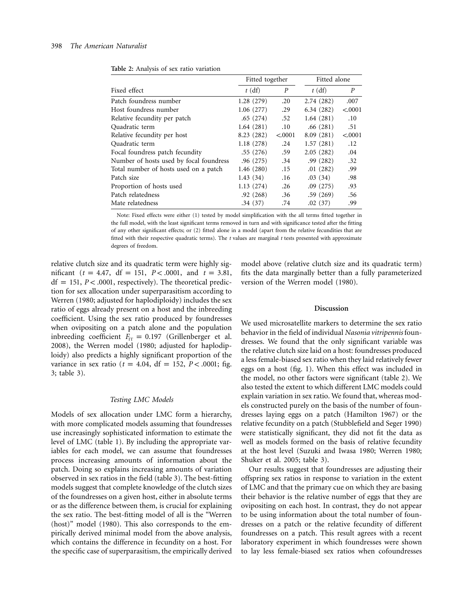| Table 2: Analysis of sex ratio variation |  |  |  |  |
|------------------------------------------|--|--|--|--|
|------------------------------------------|--|--|--|--|

|                                         | Fitted together |         | Fitted alone |                  |
|-----------------------------------------|-----------------|---------|--------------|------------------|
| Fixed effect                            | $t$ (df)        | P       | $t$ (df)     | $\boldsymbol{P}$ |
| Patch foundress number                  | 1.28(279)       | .20     | 2.74(282)    | .007             |
| Host foundress number                   | 1.06(277)       | .29     | 6.34(282)    | < .0001          |
| Relative fecundity per patch            | .65(274)        | .52     | 1.64(281)    | .10              |
| Quadratic term                          | 1.64(281)       | .10     | .66(281)     | .51              |
| Relative fecundity per host             | 8.23 (282)      | < .0001 | 8.09(281)    | < .0001          |
| Quadratic term                          | 1.18(278)       | .24     | 1.57(281)    | .12              |
| Focal foundress patch fecundity         | .55(276)        | .59     | 2.05(282)    | .04              |
| Number of hosts used by focal foundress | .96(275)        | .34     | .99(282)     | .32              |
| Total number of hosts used on a patch   | 1.46(280)       | .15     | .01(282)     | .99              |
| Patch size                              | 1.43(34)        | .16     | .03(34)      | .98              |
| Proportion of hosts used                | 1.13(274)       | .26     | .09(275)     | .93              |
| Patch relatedness                       | .92(268)        | .36     | .59(269)     | .56              |
| Mate relatedness                        | .34(37)         | .74     | .02(37)      | .99              |

Note: Fixed effects were either (1) tested by model simplification with the all terms fitted together in the full model, with the least significant terms removed in turn and with significance tested after the fitting of any other significant effects; or (2) fitted alone in a model (apart from the relative fecundities that are fitted with their respective quadratic terms). The *t* values are marginal *t* tests presented with approximate degrees of freedom.

relative clutch size and its quadratic term were highly significant ( $t = 4.47$ , df = 151,  $P < .0001$ , and  $t = 3.81$ ,  $df = 151, P < .0001$ , respectively). The theoretical prediction for sex allocation under superparasitism according to Werren (1980; adjusted for haplodiploidy) includes the sex ratio of eggs already present on a host and the inbreeding coefficient. Using the sex ratio produced by foundresses when ovipositing on a patch alone and the population inbreeding coefficient  $F_{IT} = 0.197$  (Grillenberger et al. 2008), the Werren model (1980; adjusted for haplodiploidy) also predicts a highly significant proportion of the variance in sex ratio ( $t = 4.04$ , df = 152, *P* < .0001; fig. 3; table 3).

#### *Testing LMC Models*

Models of sex allocation under LMC form a hierarchy, with more complicated models assuming that foundresses use increasingly sophisticated information to estimate the level of LMC (table 1). By including the appropriate variables for each model, we can assume that foundresses process increasing amounts of information about the patch. Doing so explains increasing amounts of variation observed in sex ratios in the field (table 3). The best-fitting models suggest that complete knowledge of the clutch sizes of the foundresses on a given host, either in absolute terms or as the difference between them, is crucial for explaining the sex ratio. The best-fitting model of all is the "Werren (host)" model (1980). This also corresponds to the empirically derived minimal model from the above analysis, which contains the difference in fecundity on a host. For the specific case of superparasitism, the empirically derived

model above (relative clutch size and its quadratic term) fits the data marginally better than a fully parameterized version of the Werren model (1980).

#### **Discussion**

We used microsatellite markers to determine the sex ratio behavior in the field of individual *Nasonia vitripennis* foundresses. We found that the only significant variable was the relative clutch size laid on a host: foundresses produced a less female-biased sex ratio when they laid relatively fewer eggs on a host (fig. 1). When this effect was included in the model, no other factors were significant (table 2). We also tested the extent to which different LMC models could explain variation in sex ratio. We found that, whereas models constructed purely on the basis of the number of foundresses laying eggs on a patch (Hamilton 1967) or the relative fecundity on a patch (Stubblefield and Seger 1990) were statistically significant, they did not fit the data as well as models formed on the basis of relative fecundity at the host level (Suzuki and Iwasa 1980; Werren 1980; Shuker et al. 2005; table 3).

Our results suggest that foundresses are adjusting their offspring sex ratios in response to variation in the extent of LMC and that the primary cue on which they are basing their behavior is the relative number of eggs that they are ovipositing on each host. In contrast, they do not appear to be using information about the total number of foundresses on a patch or the relative fecundity of different foundresses on a patch. This result agrees with a recent laboratory experiment in which foundresses were shown to lay less female-biased sex ratios when cofoundresses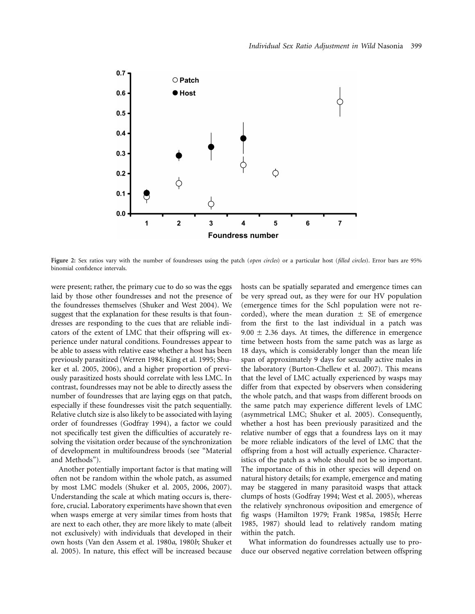

**Figure 2:** Sex ratios vary with the number of foundresses using the patch (*open circles*) or a particular host (*filled circles*). Error bars are 95% binomial confidence intervals.

were present; rather, the primary cue to do so was the eggs laid by those other foundresses and not the presence of the foundresses themselves (Shuker and West 2004). We suggest that the explanation for these results is that foundresses are responding to the cues that are reliable indicators of the extent of LMC that their offspring will experience under natural conditions. Foundresses appear to be able to assess with relative ease whether a host has been previously parasitized (Werren 1984; King et al. 1995; Shuker et al. 2005, 2006), and a higher proportion of previously parasitized hosts should correlate with less LMC. In contrast, foundresses may not be able to directly assess the number of foundresses that are laying eggs on that patch, especially if these foundresses visit the patch sequentially. Relative clutch size is also likely to be associated with laying order of foundresses (Godfray 1994), a factor we could not specifically test given the difficulties of accurately resolving the visitation order because of the synchronization of development in multifoundress broods (see "Material and Methods").

Another potentially important factor is that mating will often not be random within the whole patch, as assumed by most LMC models (Shuker et al. 2005, 2006, 2007). Understanding the scale at which mating occurs is, therefore, crucial. Laboratory experiments have shown that even when wasps emerge at very similar times from hosts that are next to each other, they are more likely to mate (albeit not exclusively) with individuals that developed in their own hosts (Van den Assem et al. 1980*a*, 1980*b*; Shuker et al. 2005). In nature, this effect will be increased because hosts can be spatially separated and emergence times can be very spread out, as they were for our HV population (emergence times for the Schl population were not recorded), where the mean duration  $\pm$  SE of emergence from the first to the last individual in a patch was 9.00  $\pm$  2.36 days. At times, the difference in emergence time between hosts from the same patch was as large as 18 days, which is considerably longer than the mean life span of approximately 9 days for sexually active males in the laboratory (Burton-Chellew et al. 2007). This means that the level of LMC actually experienced by wasps may differ from that expected by observers when considering the whole patch, and that wasps from different broods on the same patch may experience different levels of LMC (asymmetrical LMC; Shuker et al. 2005). Consequently, whether a host has been previously parasitized and the relative number of eggs that a foundress lays on it may be more reliable indicators of the level of LMC that the offspring from a host will actually experience. Characteristics of the patch as a whole should not be so important. The importance of this in other species will depend on natural history details; for example, emergence and mating may be staggered in many parasitoid wasps that attack clumps of hosts (Godfray 1994; West et al. 2005), whereas the relatively synchronous oviposition and emergence of fig wasps (Hamilton 1979; Frank 1985*a*, 1985*b*; Herre 1985, 1987) should lead to relatively random mating within the patch.

What information do foundresses actually use to produce our observed negative correlation between offspring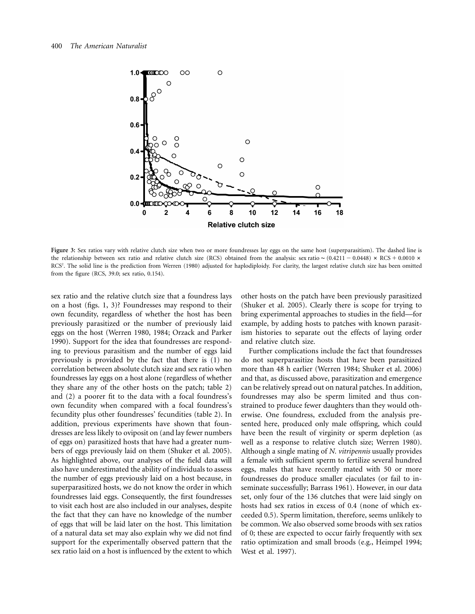

**Figure 3:** Sex ratios vary with relative clutch size when two or more foundresses lay eggs on the same host (superparasitism). The dashed line is the relationship between sex ratio and relative clutch size (RCS) obtained from the analysis: sex ratio ~ (0.4211 - 0.0448) × RCS + 0.0010 × RCS<sup>2</sup>. The solid line is the prediction from Werren (1980) adjusted for haplodiploidy. For clarity, the largest relative clutch size has been omitted from the figure (RCS, 39.0; sex ratio, 0.154).

sex ratio and the relative clutch size that a foundress lays on a host (figs. 1, 3)? Foundresses may respond to their own fecundity, regardless of whether the host has been previously parasitized or the number of previously laid eggs on the host (Werren 1980, 1984; Orzack and Parker 1990). Support for the idea that foundresses are responding to previous parasitism and the number of eggs laid previously is provided by the fact that there is (1) no correlation between absolute clutch size and sex ratio when foundresses lay eggs on a host alone (regardless of whether they share any of the other hosts on the patch; table 2) and (2) a poorer fit to the data with a focal foundress's own fecundity when compared with a focal foundress's fecundity plus other foundresses' fecundities (table 2). In addition, previous experiments have shown that foundresses are less likely to oviposit on (and lay fewer numbers of eggs on) parasitized hosts that have had a greater numbers of eggs previously laid on them (Shuker et al. 2005). As highlighted above, our analyses of the field data will also have underestimated the ability of individuals to assess the number of eggs previously laid on a host because, in superparasitized hosts, we do not know the order in which foundresses laid eggs. Consequently, the first foundresses to visit each host are also included in our analyses, despite the fact that they can have no knowledge of the number of eggs that will be laid later on the host. This limitation of a natural data set may also explain why we did not find support for the experimentally observed pattern that the sex ratio laid on a host is influenced by the extent to which

other hosts on the patch have been previously parasitized (Shuker et al. 2005). Clearly there is scope for trying to bring experimental approaches to studies in the field—for example, by adding hosts to patches with known parasitism histories to separate out the effects of laying order and relative clutch size.

Further complications include the fact that foundresses do not superparasitize hosts that have been parasitized more than 48 h earlier (Werren 1984; Shuker et al. 2006) and that, as discussed above, parasitization and emergence can be relatively spread out on natural patches. In addition, foundresses may also be sperm limited and thus constrained to produce fewer daughters than they would otherwise. One foundress, excluded from the analysis presented here, produced only male offspring, which could have been the result of virginity or sperm depletion (as well as a response to relative clutch size; Werren 1980). Although a single mating of *N. vitripennis* usually provides a female with sufficient sperm to fertilize several hundred eggs, males that have recently mated with 50 or more foundresses do produce smaller ejaculates (or fail to inseminate successfully; Barrass 1961). However, in our data set, only four of the 136 clutches that were laid singly on hosts had sex ratios in excess of 0.4 (none of which exceeded 0.5). Sperm limitation, therefore, seems unlikely to be common. We also observed some broods with sex ratios of 0; these are expected to occur fairly frequently with sex ratio optimization and small broods (e.g., Heimpel 1994; West et al. 1997).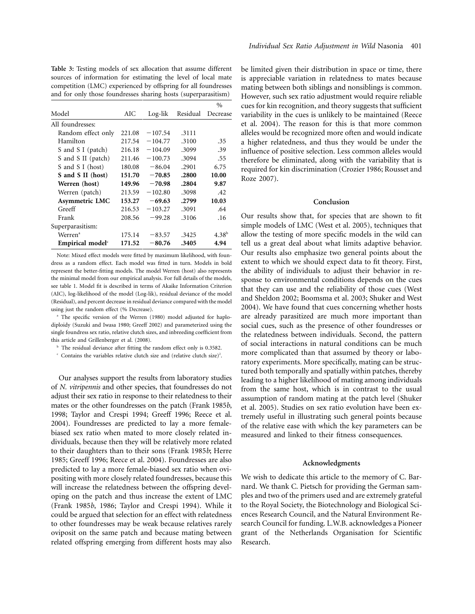**Table 3:** Testing models of sex allocation that assume different sources of information for estimating the level of local mate competition (LMC) experienced by offspring for all foundresses and for only those foundresses sharing hosts (superparasitism)

|                              |        |           |          | $\frac{0}{0}$ |
|------------------------------|--------|-----------|----------|---------------|
| Model                        | AIC    | Log-lik   | Residual | Decrease      |
| All foundresses:             |        |           |          |               |
| Random effect only           | 221.08 | $-107.54$ | .3111    |               |
| Hamilton                     | 217.54 | $-104.77$ | .3100    | .35           |
| S and S I (patch)            | 216.18 | $-104.09$ | .3099    | .39           |
| S and S II (patch)           | 211.46 | $-100.73$ | .3094    | .55           |
| S and S I (host)             | 180.08 | $-86.04$  | .2901    | 6.75          |
| S and S II (host)            | 151.70 | $-70.85$  | .2800    | 10.00         |
| Werren (host)                | 149.96 | $-70.98$  | .2804    | 9.87          |
| Werren (patch)               | 213.59 | $-102.80$ | .3098    | .42           |
| Asymmetric LMC               | 153.27 | $-69.63$  | .2799    | 10.03         |
| Greeff                       | 216.53 | $-103.27$ | .3091    | .64           |
| Frank                        | 208.56 | $-99.28$  | .3106    | .16           |
| Superparasitism:             |        |           |          |               |
| Werren <sup>a</sup>          | 175.14 | $-83.57$  | .3425    | $4.38^{b}$    |
| Empirical model <sup>c</sup> | 171.52 | $-80.76$  | .3405    | 4.94          |

Note: Mixed effect models were fitted by maximum likelihood, with foundress as a random effect. Each model was fitted in turn. Models in bold represent the better-fitting models. The model Werren (host) also represents the minimal model from our empirical analysis. For full details of the models, see table 1. Model fit is described in terms of Akaike Information Criterion (AIC), log-likelihood of the model (Log-lik), residual deviance of the model (Residual), and percent decrease in residual deviance compared with the model using just the random effect (% Decrease).

<sup>a</sup> The specific version of the Werren (1980) model adjusted for haplodiploidy (Suzuki and Iwasa 1980; Greeff 2002) and parameterized using the single foundress sex ratio, relative clutch sizes, and inbreeding coefficient from this article and Grillenberger et al. (2008).

- <sup>b</sup> The residual deviance after fitting the random effect only is 0.3582.
- $\epsilon$  Contains the variables relative clutch size and (relative clutch size)<sup>2</sup>.

Our analyses support the results from laboratory studies of *N. vitripennis* and other species, that foundresses do not adjust their sex ratio in response to their relatedness to their mates or the other foundresses on the patch (Frank 1985*b*, 1998; Taylor and Crespi 1994; Greeff 1996; Reece et al. 2004). Foundresses are predicted to lay a more femalebiased sex ratio when mated to more closely related individuals, because then they will be relatively more related to their daughters than to their sons (Frank 1985*b*; Herre 1985; Greeff 1996; Reece et al. 2004). Foundresses are also predicted to lay a more female-biased sex ratio when ovipositing with more closely related foundresses, because this will increase the relatedness between the offspring developing on the patch and thus increase the extent of LMC (Frank 1985*b*, 1986; Taylor and Crespi 1994). While it could be argued that selection for an effect with relatedness to other foundresses may be weak because relatives rarely oviposit on the same patch and because mating between related offspring emerging from different hosts may also

be limited given their distribution in space or time, there is appreciable variation in relatedness to mates because mating between both siblings and nonsiblings is common. However, such sex ratio adjustment would require reliable cues for kin recognition, and theory suggests that sufficient variability in the cues is unlikely to be maintained (Reece et al. 2004). The reason for this is that more common alleles would be recognized more often and would indicate a higher relatedness, and thus they would be under the influence of positive selection. Less common alleles would therefore be eliminated, along with the variability that is required for kin discrimination (Crozier 1986; Rousset and Roze 2007).

#### **Conclusion**

Our results show that, for species that are shown to fit simple models of LMC (West et al. 2005), techniques that allow the testing of more specific models in the wild can tell us a great deal about what limits adaptive behavior. Our results also emphasize two general points about the extent to which we should expect data to fit theory. First, the ability of individuals to adjust their behavior in response to environmental conditions depends on the cues that they can use and the reliability of those cues (West and Sheldon 2002; Boomsma et al. 2003; Shuker and West 2004). We have found that cues concerning whether hosts are already parasitized are much more important than social cues, such as the presence of other foundresses or the relatedness between individuals. Second, the pattern of social interactions in natural conditions can be much more complicated than that assumed by theory or laboratory experiments. More specifically, mating can be structured both temporally and spatially within patches, thereby leading to a higher likelihood of mating among individuals from the same host, which is in contrast to the usual assumption of random mating at the patch level (Shuker et al. 2005). Studies on sex ratio evolution have been extremely useful in illustrating such general points because of the relative ease with which the key parameters can be measured and linked to their fitness consequences.

# **Acknowledgments**

We wish to dedicate this article to the memory of C. Barnard. We thank C. Pietsch for providing the German samples and two of the primers used and are extremely grateful to the Royal Society, the Biotechnology and Biological Sciences Research Council, and the Natural Environment Research Council for funding. L.W.B. acknowledges a Pioneer grant of the Netherlands Organisation for Scientific Research.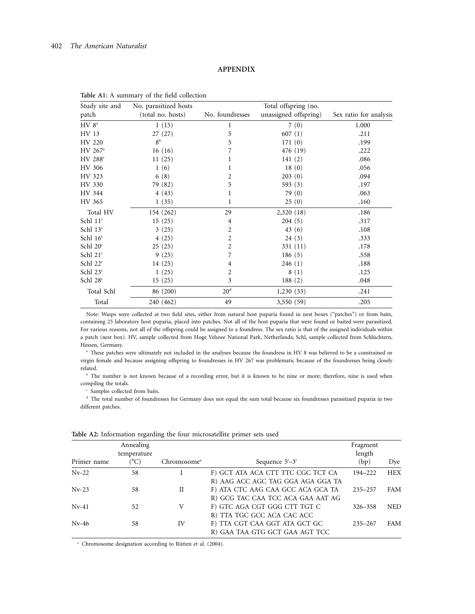## **APPENDIX**

| Study site and      | No. parasitized hosts |                 |                       |                        |
|---------------------|-----------------------|-----------------|-----------------------|------------------------|
| patch               | (total no. hosts)     | No. foundresses | unassigned offspring) | Sex ratio for analysis |
| HV 8 <sup>a</sup>   | 1(15)                 | 1               | 7(0)                  | 1.000                  |
| HV 13               | 27(27)                | 5               | 607(1)                | .211                   |
| HV 220              | 8 <sup>b</sup>        | 5               | 171(0)                | .199                   |
| HV 267 <sup>a</sup> | 16(16)                | 7               | 476 (19)              | .222                   |
| HV 288 <sup>c</sup> | 11(25)                |                 | 141(2)                | .086                   |
| HV 306              | 1(6)                  | 1               | 18(0)                 | .056                   |
| HV 323              | 6(8)                  | 2               | 203(0)                | .094                   |
| HV 330              | 79 (82)               | 5               | 593 (3)               | .197                   |
| HV 344              | 4(43)                 | 1               | 79 (0)                | .063                   |
| HV 365              | 1(35)                 | 1               | 25(0)                 | .160                   |
| Total HV            | 154 (262)             | 29              | 2,320(18)             | .186                   |
| Schl $11c$          | 15(25)                | 4               | 204(5)                | .317                   |
| Schl $13c$          | 3(25)                 | 2               | 43(6)                 | .108                   |
| Schl $16c$          | 4(25)                 | 2               | 24(3)                 | .333                   |
| Schl $20^{\circ}$   | 25(25)                | 2               | 331 (11)              | .178                   |
| Schl $21c$          | 9(25)                 | 7               | 186(5)                | .558                   |
| Schl $22^{\circ}$   | 14 (25)               | 4               | 246(1)                | .188                   |
| Schl $23c$          | 1(25)                 | 2               | 8(1)                  | .125                   |
| Schl $28^\circ$     | 15(25)                | 3               | 188(2)                | .048                   |
| Total Schl          | 86 (200)              | 20 <sup>d</sup> | 1,230(33)             | .241                   |
| Total               | 240 (462)             | 49              | 3,550 (59)            | .205                   |

**Table A1:** A summary of the field collection

Note: Wasps were collected at two field sites, either from natural host puparia found in nest boxes ("patches") or from baits, containing 25 laboratory host puparia, placed into patches. Not all of the host puparia that were found or baited were parasitized. For various reasons, not all of the offspring could be assigned to a foundress. The sex ratio is that of the assigned individuals within a patch (nest box). HV, sample collected from Hoge Veluwe National Park, Netherlands; Schl, sample collected from Schlüchtern, Hessen, Germany.

<sup>a</sup> These patches were ultimately not included in the analyses because the foundress in HV 8 was believed to be a constrained or virgin female and because assigning offspring to foundresses in HV 267 was problematic because of the foundresses being closely related.

<sup>b</sup> The number is not known because of a recording error, but it is known to be nine or more; therefore, nine is used when compiling the totals.

<sup>c</sup> Samples collected from baits.

<sup>d</sup> The total number of foundresses for Germany does not equal the sum total because six foundresses parasitized puparia in two different patches.

|             | Annealing<br>temperature |                         |                                   | Fragment<br>length |            |
|-------------|--------------------------|-------------------------|-----------------------------------|--------------------|------------|
| Primer name | $(^{\circ}C)$            | Chromosome <sup>a</sup> | Sequence $5^{\prime}-3^{\prime}$  | (bp)               | Dye        |
| $Nv-22$     | 58                       |                         | F) GCT ATA ACA CTT TTC CGC TCT CA | 194-222            | <b>HEX</b> |
|             |                          |                         | R) AAG ACC AGC TAG GGA AGA GGA TA |                    |            |
| $Nv-23$     | 58                       | Н                       | F) ATA CTC AAG CAA GCC ACA GCA TA | $235 - 257$        | <b>FAM</b> |
|             |                          |                         | R) GCG TAC CAA TCC ACA GAA AAT AG |                    |            |
| $Nv-41$     | 52                       | V                       | F) GTC AGA CGT GGG CTT TGT C      | 326–358            | <b>NED</b> |
|             |                          |                         | R) TTA TGC GCC ACA CAC ACC        |                    |            |
| $Nv-46$     | 58                       | IV                      | F) TTA CGT CAA GGT ATA GCT GC     | $235 - 267$        | <b>FAM</b> |
|             |                          |                         | R) GAA TAA GTG GCT GAA AGT TCC    |                    |            |

**Table A2:** Information regarding the four microsatellite primer sets used

<sup>a</sup> Chromosome designation according to Rütten et al. (2004).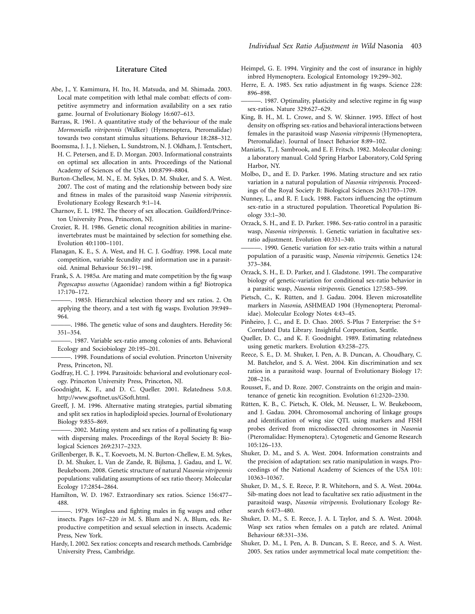- Abe, J., Y. Kamimura, H. Ito, H. Matsuda, and M. Shimada. 2003. Local mate competition with lethal male combat: effects of competitive asymmetry and information availability on a sex ratio game. Journal of Evolutionary Biology 16:607–613.
- Barrass, R. 1961. A quantitative study of the behaviour of the male *Mormoniella vitripennis* (Walker) (Hymenoptera, Pteromalidae) towards two constant stimulus situations. Behaviour 18:288–312.
- Boomsma, J. J., J. Nielsen, L. Sundstrom, N. J. Oldham, J. Tentschert, H. C. Petersen, and E. D. Morgan. 2003. Informational constraints on optimal sex allocation in ants. Proceedings of the National Academy of Sciences of the USA 100:8799–8804.
- Burton-Chellew, M. N., E. M. Sykes, D. M. Shuker, and S. A. West. 2007. The cost of mating and the relationship between body size and fitness in males of the parasitoid wasp *Nasonia vitripennis*. Evolutionary Ecology Research 9:1–14.
- Charnov, E. L. 1982. The theory of sex allocation. Guildford/Princeton University Press, Princeton, NJ.
- Crozier, R. H. 1986. Genetic clonal recognition abilities in marineinvertebrates must be maintained by selection for something else. Evolution 40:1100–1101.
- Flanagan, K. E., S. A. West, and H. C. J. Godfray. 1998. Local mate competition, variable fecundity and information use in a parasitoid. Animal Behaviour 56:191–198.
- Frank, S. A. 1985*a*. Are mating and mate competition by the fig wasp *Pegoscapus assuetus* (Agaonidae) random within a fig? Biotropica 17:170–172.
- ———. 1985*b*. Hierarchical selection theory and sex ratios. 2. On applying the theory, and a test with fig wasps. Evolution 39:949– 964.
- -. 1986. The genetic value of sons and daughters. Heredity 56: 351–354.
- -. 1987. Variable sex-ratio among colonies of ants. Behavioral Ecology and Sociobiology 20:195–201.

-. 1998. Foundations of social evolution. Princeton University Press, Princeton, NJ.

- Godfray, H. C. J. 1994. Parasitoids: behavioral and evolutionary ecology. Princeton University Press, Princeton, NJ.
- Goodnight, K. F., and D. C. Queller. 2001. Relatedness 5.0.8. http://www.gsoftnet.us/GSoft.html.
- Greeff, J. M. 1996. Alternative mating strategies, partial sibmating and split sex ratios in haplodiploid species. Journal of Evolutionary Biology 9:855–869.

. 2002. Mating system and sex ratios of a pollinating fig wasp with dispersing males. Proceedings of the Royal Society B: Biological Sciences 269:2317–2323.

- Grillenberger, B. K., T. Koevoets, M. N. Burton-Chellew, E. M. Sykes, D. M. Shuker, L. Van de Zande, R. Bijlsma, J. Gadau, and L. W. Beukeboom. 2008. Genetic structure of natural *Nasonia vitripennis* populations: validating assumptions of sex ratio theory. Molecular Ecology 17:2854–2864.
- Hamilton, W. D. 1967. Extraordinary sex ratios. Science 156:477– 488.
- -. 1979. Wingless and fighting males in fig wasps and other insects. Pages 167–220 *in* M. S. Blum and N. A. Blum, eds. Reproductive competition and sexual selection in insects. Academic Press, New York.
- Hardy, I. 2002. Sex ratios: concepts and research methods. Cambridge University Press, Cambridge.
- Heimpel, G. E. 1994. Virginity and the cost of insurance in highly inbred Hymenoptera. Ecological Entomology 19:299–302.
- Herre, E. A. 1985. Sex ratio adjustment in fig wasps. Science 228: 896–898.
- -. 1987. Optimality, plasticity and selective regime in fig wasp sex-ratios. Nature 329:627–629.
- King, B. H., M. L. Crowe, and S. W. Skinner. 1995. Effect of host density on offspring sex-ratios and behavioral interactions between females in the parasitoid wasp *Nasonia vitripennis* (Hymenoptera, Pteromalidae). Journal of Insect Behavior 8:89–102.
- Maniatis, T., J. Sambrook, and E. F. Fritsch. 1982. Molecular cloning: a laboratory manual. Cold Spring Harbor Laboratory, Cold Spring Harbor, NY.
- Molbo, D., and E. D. Parker. 1996. Mating structure and sex ratio variation in a natural population of *Nasonia vitripennis*. Proceedings of the Royal Society B: Biological Sciences 263:1703–1709.
- Nunney, L., and R. F. Luck. 1988. Factors influencing the optimum sex-ratio in a structured population. Theoretical Population Biology 33:1–30.
- Orzack, S. H., and E. D. Parker. 1986. Sex-ratio control in a parasitic wasp, *Nasonia vitripennis*. 1. Genetic variation in facultative sexratio adjustment. Evolution 40:331–340.
- -. 1990. Genetic variation for sex-ratio traits within a natural population of a parasitic wasp, *Nasonia vitripennis*. Genetics 124: 373–384.
- Orzack, S. H., E. D. Parker, and J. Gladstone. 1991. The comparative biology of genetic-variation for conditional sex-ratio behavior in a parasitic wasp, *Nasonia vitripennis*. Genetics 127:583–599.
- Pietsch, C., K. Rütten, and J. Gadau. 2004. Eleven microsatellite markers in *Nasonia*, ASHMEAD 1904 (Hymenoptera; Pteromalidae). Molecular Ecology Notes 4:43–45.
- Pinheiro, J. C., and E. D. Chao. 2005. S-Plus 7 Enterprise: the S+ Correlated Data Library. Insightful Corporation, Seattle.
- Queller, D. C., and K. F. Goodnight. 1989. Estimating relatedness using genetic markers. Evolution 43:258–275.
- Reece, S. E., D. M. Shuker, I. Pen, A. B. Duncan, A. Choudhary, C. M. Batchelor, and S. A. West. 2004. Kin discrimination and sex ratios in a parasitoid wasp. Journal of Evolutionary Biology 17: 208–216.
- Rousset, F., and D. Roze. 2007. Constraints on the origin and maintenance of genetic kin recognition. Evolution 61:2320–2330.
- Rütten, K. B., C. Pietsch, K. Olek, M. Neusser, L. W. Beukeboom, and J. Gadau. 2004. Chromosomal anchoring of linkage groups and identification of wing size QTL using markers and FISH probes derived from microdissected chromosomes in *Nasonia* (Pteromalidae: Hymenoptera). Cytogenetic and Genome Research 105:126–133.
- Shuker, D. M., and S. A. West. 2004. Information constraints and the precision of adaptation: sex ratio manipulation in wasps. Proceedings of the National Academy of Sciences of the USA 101: 10363–10367.
- Shuker, D. M., S. E. Reece, P. R. Whitehorn, and S. A. West. 2004*a*. Sib-mating does not lead to facultative sex ratio adjustment in the parasitoid wasp, *Nasonia vitripennis*. Evolutionary Ecology Research 6:473–480.
- Shuker, D. M., S. E. Reece, J. A. L Taylor, and S. A. West. 2004*b*. Wasp sex ratios when females on a patch are related. Animal Behaviour 68:331–336.
- Shuker, D. M., I. Pen, A. B. Duncan, S. E. Reece, and S. A. West. 2005. Sex ratios under asymmetrical local mate competition: the-